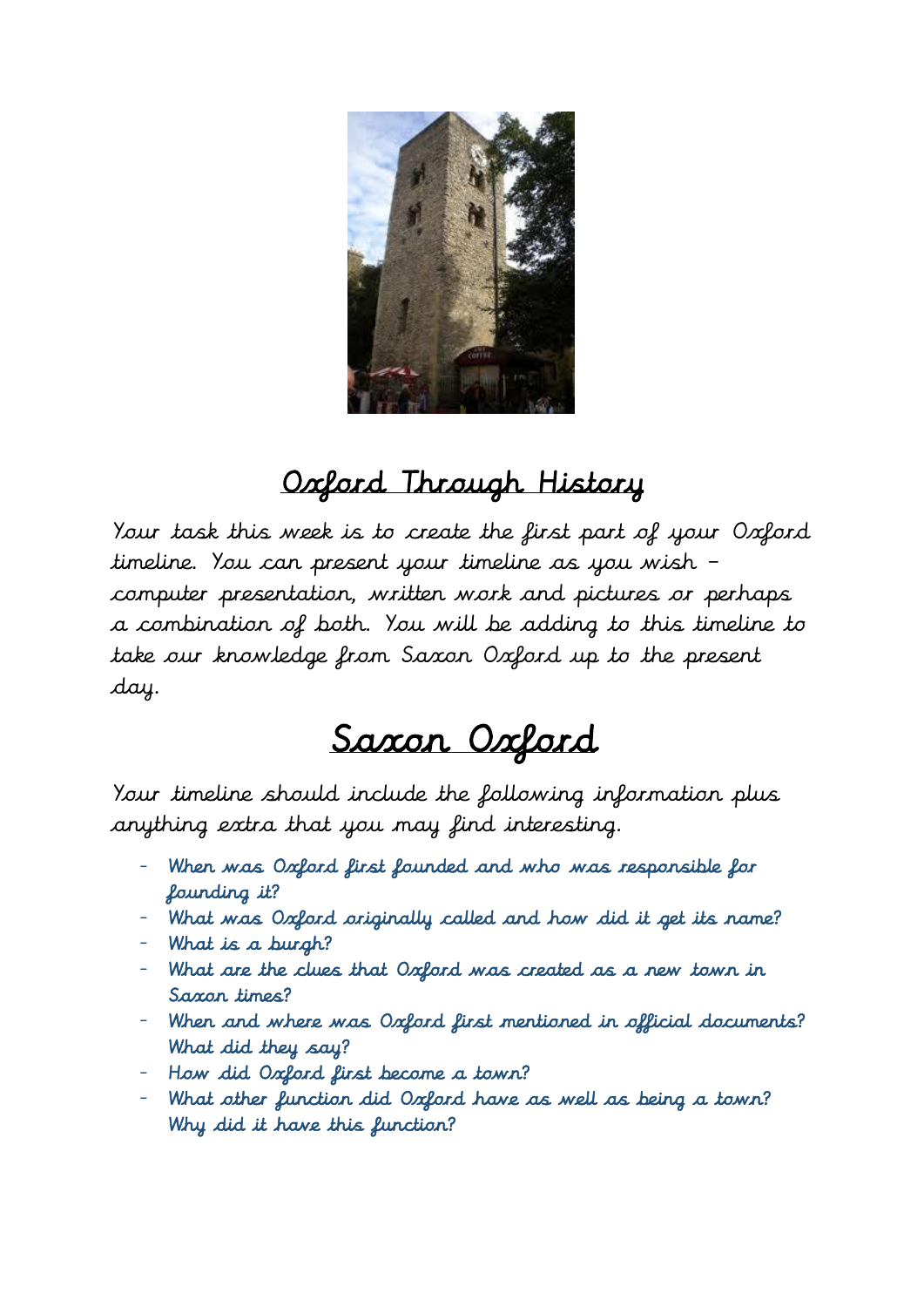

## Oxford Through History

Your task this week is to create the first part of your Oxford timeline. You can present your timeline as you wish – computer presentation, written work and pictures or perhaps a combination of both. You will be adding to this timeline to take our knowledge from Saxon Oxford up to the present day.

## Saxon Oxford

Your timeline should include the following information plus anything extra that you may find interesting.

- When was Oxford first founded and who was responsible for founding it?
- What was Oxford originally called and how did it get its name?
- What is a burgh?
- What are the clues that Oxford was created as a new town in Saxon times?
- When and where was Oxford first mentioned in official documents? What did they say?
- How did Oxford first become a town?
- What other function did Oxford have as well as being a town? Why did it have this function?